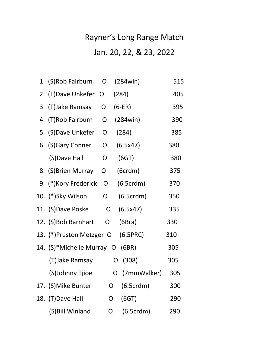## Rayner's Long Range Match

## Jan. 20, 22, & 23, 2022

| 1. (S)Rob Fairburn        | O            | (284win)       | 515 |
|---------------------------|--------------|----------------|-----|
| 2. (T) Dave Unkefer       | O            | (284)          | 405 |
| 3. (T) Jake Ramsay        | 0            | $(6-ER)$       | 395 |
| 4. (T)Rob Fairburn        | O            | (284win)       | 390 |
| 5. (S) Dave Unkefer       | O            | (284)          | 385 |
| 6. (S)Gary Conner         | O            | (6.5x47)       | 380 |
| (S)Dave Hall              | O            | (6GT)          | 380 |
| 8. (S) Brien Murray       | O            | (6crdm)        | 375 |
| 9. (*) Kory Frederick     | O            | (6.5crdm)      | 370 |
| 10. (*)Sky Wilson         | O            | (6.5crdm)      | 350 |
| 11. (S)Dave Poske         | $\mathsf{O}$ | (6.5x47)       | 335 |
| 12. (S)Bob Barnhart       | O            | (6Bra)         | 330 |
| 13. (*)Preston Metzger O  |              | (6.5PRC)       | 310 |
| 14. (S)*Michelle Murray O |              | (6BR)          | 305 |
| (T)Jake Ramsay            |              | (308)<br>O     | 305 |
| (S)Johnny Tjioe           |              | O (7mmWalker)  | 305 |
| 17. (S) Mike Bunter       |              | (6.5crdm)<br>O | 300 |
| 18. (T) Dave Hall         | O            | (6GT)          | 290 |
| (S) Bill Winland          | O            | (6.5crdm)      | 290 |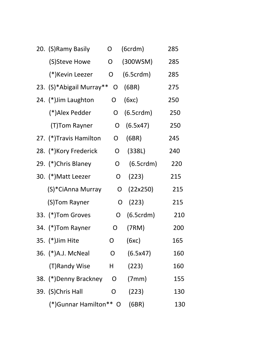|  | 20. (S) Ramy Basily      | O            | (6crdm)   | 285 |
|--|--------------------------|--------------|-----------|-----|
|  | (S)Steve Howe            | O            | (300WSM)  | 285 |
|  | (*)Kevin Leezer          | O            | (6.5crdm) | 285 |
|  | 23. (S)*Abigail Murray** | O            | (6BR)     | 275 |
|  | 24. (*) Jim Laughton     | O            | (6xc)     | 250 |
|  | (*)Alex Pedder           | O            | (6.5crdm) | 250 |
|  | (T)Tom Rayner            | O            | (6.5x47)  | 250 |
|  | 27. (*)Travis Hamilton   | O            | (6BR)     | 245 |
|  | 28. (*)Kory Frederick    | O            | (338L)    | 240 |
|  | 29. (*)Chris Blaney      | O            | (6.5crdm) | 220 |
|  | 30. (*) Matt Leezer      | O            | (223)     | 215 |
|  | (S)*CiAnna Murray        | O            | (22x250)  | 215 |
|  | (S)Tom Rayner            | O            | (223)     | 215 |
|  | 33. (*) Tom Groves       | O            | (6.5crdm) | 210 |
|  | 34. (*)Tom Rayner        | O            | (7RM)     | 200 |
|  | 35. (*) Jim Hite         | $\mathsf{O}$ | (6xc)     | 165 |
|  | 36. (*)A.J. McNeal       | O            | (6.5x47)  | 160 |
|  | (T)Randy Wise            | H.           | (223)     | 160 |
|  | 38. (*) Denny Brackney   | O            | (7mm)     | 155 |
|  | 39. (S)Chris Hall        | 0            | (223)     | 130 |
|  | (*) Gunnar Hamilton** O  |              | (6BR)     | 130 |